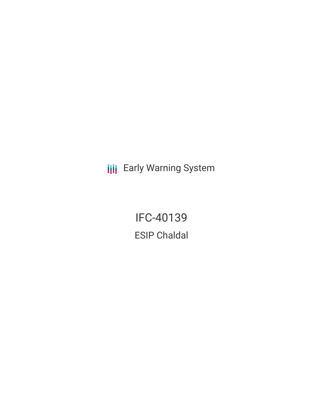**III** Early Warning System

IFC-40139 ESIP Chaldal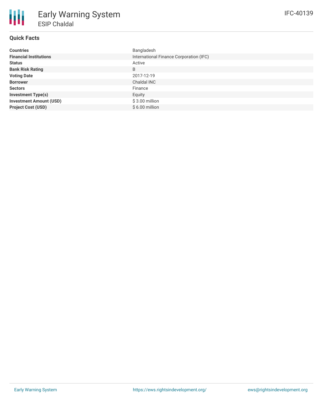# **Quick Facts**

| <b>Countries</b>               | Bangladesh                              |
|--------------------------------|-----------------------------------------|
| <b>Financial Institutions</b>  | International Finance Corporation (IFC) |
| <b>Status</b>                  | Active                                  |
| <b>Bank Risk Rating</b>        | B                                       |
| <b>Voting Date</b>             | 2017-12-19                              |
| <b>Borrower</b>                | Chaldal INC                             |
| <b>Sectors</b>                 | Finance                                 |
| <b>Investment Type(s)</b>      | Equity                                  |
| <b>Investment Amount (USD)</b> | $$3.00$ million                         |
| <b>Project Cost (USD)</b>      | $$6.00$ million                         |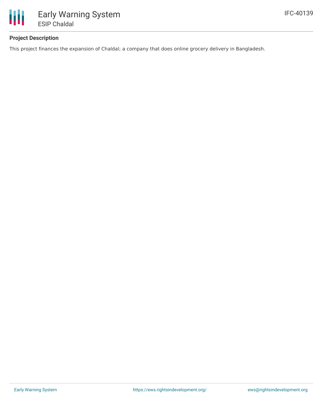

# **Project Description**

This project finances the expansion of Chaldal; a company that does online grocery delivery in Bangladesh.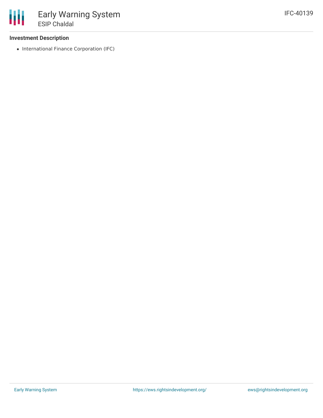## **Investment Description**

• International Finance Corporation (IFC)